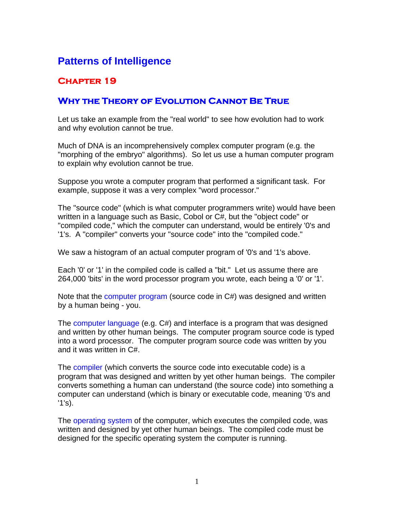# **Patterns of Intelligence**

## **Chapter 19**

### **Why the Theory of Evolution Cannot Be True**

Let us take an example from the "real world" to see how evolution had to work and why evolution cannot be true.

Much of DNA is an incomprehensively complex computer program (e.g. the "morphing of the embryo" algorithms). So let us use a human computer program to explain why evolution cannot be true.

Suppose you wrote a computer program that performed a significant task. For example, suppose it was a very complex "word processor."

The "source code" (which is what computer programmers write) would have been written in a language such as Basic, Cobol or C#, but the "object code" or "compiled code," which the computer can understand, would be entirely '0's and '1's. A "compiler" converts your "source code" into the "compiled code."

We saw a histogram of an actual computer program of '0's and '1's above.

Each '0' or '1' in the compiled code is called a "bit." Let us assume there are 264,000 'bits' in the word processor program you wrote, each being a '0' or '1'.

Note that the computer program (source code in C#) was designed and written by a human being - you.

The computer language (e.g. C#) and interface is a program that was designed and written by other human beings. The computer program source code is typed into a word processor. The computer program source code was written by you and it was written in C#.

The compiler (which converts the source code into executable code) is a program that was designed and written by yet other human beings. The compiler converts something a human can understand (the source code) into something a computer can understand (which is binary or executable code, meaning '0's and '1's).

The operating system of the computer, which executes the compiled code, was written and designed by yet other human beings. The compiled code must be designed for the specific operating system the computer is running.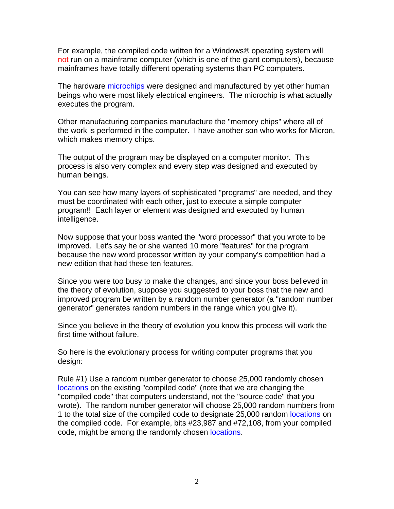For example, the compiled code written for a Windows® operating system will not run on a mainframe computer (which is one of the giant computers), because mainframes have totally different operating systems than PC computers.

The hardware microchips were designed and manufactured by yet other human beings who were most likely electrical engineers. The microchip is what actually executes the program.

Other manufacturing companies manufacture the "memory chips" where all of the work is performed in the computer. I have another son who works for Micron, which makes memory chips.

The output of the program may be displayed on a computer monitor. This process is also very complex and every step was designed and executed by human beings.

You can see how many layers of sophisticated "programs" are needed, and they must be coordinated with each other, just to execute a simple computer program!! Each layer or element was designed and executed by human intelligence.

Now suppose that your boss wanted the "word processor" that you wrote to be improved. Let's say he or she wanted 10 more "features" for the program because the new word processor written by your company's competition had a new edition that had these ten features.

Since you were too busy to make the changes, and since your boss believed in the theory of evolution, suppose you suggested to your boss that the new and improved program be written by a random number generator (a "random number generator" generates random numbers in the range which you give it).

Since you believe in the theory of evolution you know this process will work the first time without failure.

So here is the evolutionary process for writing computer programs that you design:

Rule #1) Use a random number generator to choose 25,000 randomly chosen locations on the existing "compiled code" (note that we are changing the "compiled code" that computers understand, not the "source code" that you wrote). The random number generator will choose 25,000 random numbers from 1 to the total size of the compiled code to designate 25,000 random locations on the compiled code. For example, bits #23,987 and #72,108, from your compiled code, might be among the randomly chosen locations.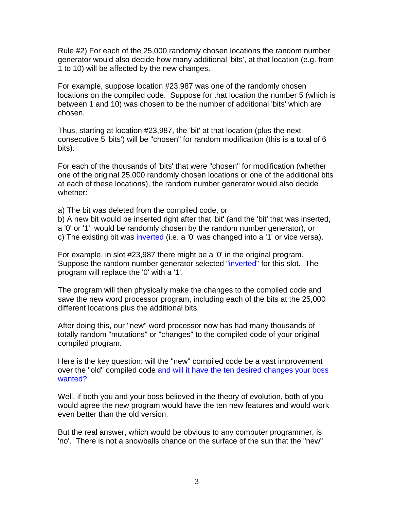Rule #2) For each of the 25,000 randomly chosen locations the random number generator would also decide how many additional 'bits', at that location (e.g. from 1 to 10) will be affected by the new changes.

For example, suppose location #23,987 was one of the randomly chosen locations on the compiled code. Suppose for that location the number 5 (which is between 1 and 10) was chosen to be the number of additional 'bits' which are chosen.

Thus, starting at location #23,987, the 'bit' at that location (plus the next consecutive 5 'bits') will be "chosen" for random modification (this is a total of 6 bits).

For each of the thousands of 'bits' that were "chosen" for modification (whether one of the original 25,000 randomly chosen locations or one of the additional bits at each of these locations), the random number generator would also decide whether:

a) The bit was deleted from the compiled code, or

b) A new bit would be inserted right after that 'bit' (and the 'bit' that was inserted, a '0' or '1', would be randomly chosen by the random number generator), or c) The existing bit was inverted (i.e. a '0' was changed into a '1' or vice versa),

For example, in slot #23,987 there might be a '0' in the original program. Suppose the random number generator selected "inverted" for this slot. The program will replace the '0' with a '1'.

The program will then physically make the changes to the compiled code and save the new word processor program, including each of the bits at the 25,000 different locations plus the additional bits.

After doing this, our "new" word processor now has had many thousands of totally random "mutations" or "changes" to the compiled code of your original compiled program.

Here is the key question: will the "new" compiled code be a vast improvement over the "old" compiled code and will it have the ten desired changes your boss wanted?

Well, if both you and your boss believed in the theory of evolution, both of you would agree the new program would have the ten new features and would work even better than the old version.

But the real answer, which would be obvious to any computer programmer, is 'no'. There is not a snowballs chance on the surface of the sun that the "new"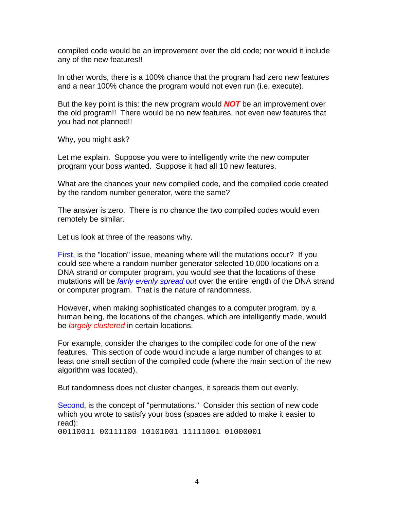compiled code would be an improvement over the old code; nor would it include any of the new features!!

In other words, there is a 100% chance that the program had zero new features and a near 100% chance the program would not even run (i.e. execute).

But the key point is this: the new program would *NOT* be an improvement over the old program!! There would be no new features, not even new features that you had not planned!!

Why, you might ask?

Let me explain. Suppose you were to intelligently write the new computer program your boss wanted. Suppose it had all 10 new features.

What are the chances your new compiled code, and the compiled code created by the random number generator, were the same?

The answer is zero. There is no chance the two compiled codes would even remotely be similar.

Let us look at three of the reasons why.

First, is the "location" issue, meaning where will the mutations occur? If you could see where a random number generator selected 10,000 locations on a DNA strand or computer program, you would see that the locations of these mutations will be *fairly evenly spread out* over the entire length of the DNA strand or computer program. That is the nature of randomness.

However, when making sophisticated changes to a computer program, by a human being, the locations of the changes, which are intelligently made, would be *largely clustered* in certain locations.

For example, consider the changes to the compiled code for one of the new features. This section of code would include a large number of changes to at least one small section of the compiled code (where the main section of the new algorithm was located).

But randomness does not cluster changes, it spreads them out evenly.

Second, is the concept of "permutations." Consider this section of new code which you wrote to satisfy your boss (spaces are added to make it easier to read): 00110011 00111100 10101001 11111001 01000001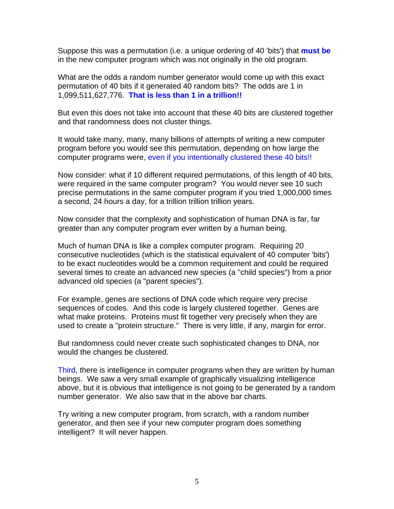Suppose this was a permutation (i.e. a unique ordering of 40 'bits') that **must be** in the new computer program which was not originally in the old program.

What are the odds a random number generator would come up with this exact permutation of 40 bits if it generated 40 random bits? The odds are 1 in 1,099,511,627,776. **That is less than 1 in a trillion!!**

But even this does not take into account that these 40 bits are clustered together and that randomness does not cluster things.

It would take many, many, many billions of attempts of writing a new computer program before you would see this permutation, depending on how large the computer programs were, even if you intentionally clustered these 40 bits!!

Now consider: what if 10 different required permutations, of this length of 40 bits, were required in the same computer program? You would never see 10 such precise permutations in the same computer program if you tried 1,000,000 times a second, 24 hours a day, for a trillion trillion trillion years.

Now consider that the complexity and sophistication of human DNA is far, far greater than any computer program ever written by a human being.

Much of human DNA is like a complex computer program. Requiring 20 consecutive nucleotides (which is the statistical equivalent of 40 computer 'bits') to be exact nucleotides would be a common requirement and could be required several times to create an advanced new species (a "child species") from a prior advanced old species (a "parent species").

For example, genes are sections of DNA code which require very precise sequences of codes. And this code is largely clustered together. Genes are what make proteins. Proteins must fit together very precisely when they are used to create a "protein structure." There is very little, if any, margin for error.

But randomness could never create such sophisticated changes to DNA, nor would the changes be clustered.

Third, there is intelligence in computer programs when they are written by human beings. We saw a very small example of graphically visualizing intelligence above, but it is obvious that intelligence is not going to be generated by a random number generator. We also saw that in the above bar charts.

Try writing a new computer program, from scratch, with a random number generator, and then see if your new computer program does something intelligent? It will never happen.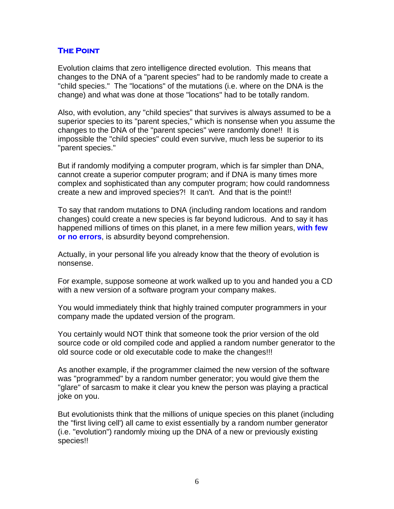#### **The Point**

Evolution claims that zero intelligence directed evolution. This means that changes to the DNA of a "parent species" had to be randomly made to create a "child species." The "locations" of the mutations (i.e. where on the DNA is the change) and what was done at those "locations" had to be totally random.

Also, with evolution, any "child species" that survives is always assumed to be a superior species to its "parent species," which is nonsense when you assume the changes to the DNA of the "parent species" were randomly done!! It is impossible the "child species" could even survive, much less be superior to its "parent species."

But if randomly modifying a computer program, which is far simpler than DNA, cannot create a superior computer program; and if DNA is many times more complex and sophisticated than any computer program; how could randomness create a new and improved species?! It can't. And that is the point!!

To say that random mutations to DNA (including random locations and random changes) could create a new species is far beyond ludicrous. And to say it has happened millions of times on this planet, in a mere few million years, **with few or no errors**, is absurdity beyond comprehension.

Actually, in your personal life you already know that the theory of evolution is nonsense.

For example, suppose someone at work walked up to you and handed you a CD with a new version of a software program your company makes.

You would immediately think that highly trained computer programmers in your company made the updated version of the program.

You certainly would NOT think that someone took the prior version of the old source code or old compiled code and applied a random number generator to the old source code or old executable code to make the changes!!!

As another example, if the programmer claimed the new version of the software was "programmed" by a random number generator; you would give them the "glare" of sarcasm to make it clear you knew the person was playing a practical joke on you.

But evolutionists think that the millions of unique species on this planet (including the "first living cell') all came to exist essentially by a random number generator (i.e. "evolution") randomly mixing up the DNA of a new or previously existing species!!